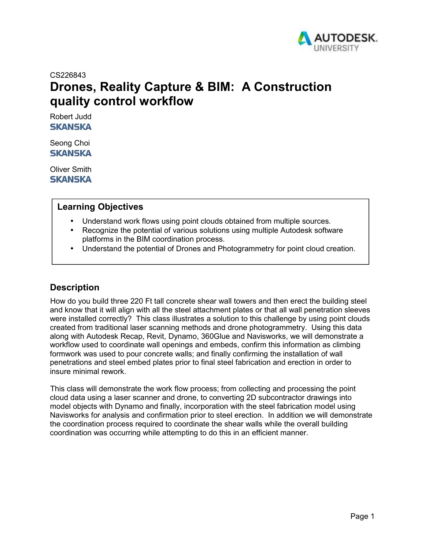

CS226843

# **Drones, Reality Capture & BIM: A Construction quality control workflow**

Robert Judd **SKANSKA** 

Seong Choi **SKANSKA** 

Oliver Smith **SKANSKA** 

# **Learning Objectives**

- Understand work flows using point clouds obtained from multiple sources.
- Recognize the potential of various solutions using multiple Autodesk software platforms in the BIM coordination process.
- Understand the potential of Drones and Photogrammetry for point cloud creation.

# **Description**

How do you build three 220 Ft tall concrete shear wall towers and then erect the building steel and know that it will align with all the steel attachment plates or that all wall penetration sleeves were installed correctly? This class illustrates a solution to this challenge by using point clouds created from traditional laser scanning methods and drone photogrammetry. Using this data along with Autodesk Recap, Revit, Dynamo, 360Glue and Navisworks, we will demonstrate a workflow used to coordinate wall openings and embeds, confirm this information as climbing formwork was used to pour concrete walls; and finally confirming the installation of wall penetrations and steel embed plates prior to final steel fabrication and erection in order to insure minimal rework.

This class will demonstrate the work flow process; from collecting and processing the point cloud data using a laser scanner and drone, to converting 2D subcontractor drawings into model objects with Dynamo and finally, incorporation with the steel fabrication model using Navisworks for analysis and confirmation prior to steel erection. In addition we will demonstrate the coordination process required to coordinate the shear walls while the overall building coordination was occurring while attempting to do this in an efficient manner.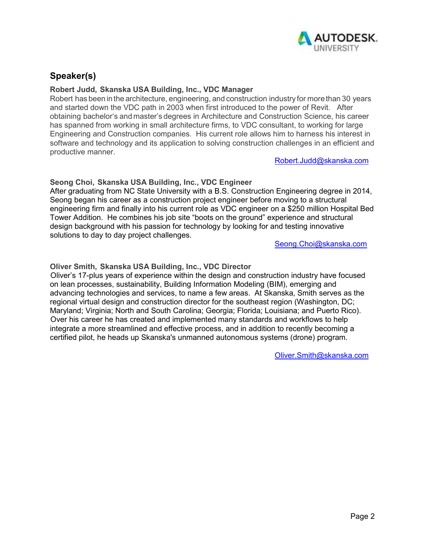

# **Speaker(s)**

## **Robert Judd, Skanska USA Building, Inc., VDC Manager**

Robert has been in the architecture, engineering, and construction industry for more than 30 years and started down the VDC path in 2003 when first introduced to the power of Revit. After obtaining bachelor's and master's degrees in Architecture and Construction Science, his career has spanned from working in small architecture firms, to VDC consultant, to working for large Engineering and Construction companies. His current role allows him to harness his interest in software and technology and its application to solving construction challenges in an efficient and productive manner.

Robert.Judd@skanska.com

## **Seong Choi, Skanska USA Building, Inc., VDC Engineer**

After graduating from NC State University with a B.S. Construction Engineering degree in 2014, Seong began his career as a construction project engineer before moving to a structural engineering firm and finally into his current role as VDC engineer on a \$250 million Hospital Bed Tower Addition. He combines his job site "boots on the ground" experience and structural design background with his passion for technology by looking for and testing innovative solutions to day to day project challenges.

Seong.Choi@skanska.com

## **Oliver Smith, Skanska USA Building, Inc., VDC Director**

Oliver's 17-plus years of experience within the design and construction industry have focused on lean processes, sustainability, Building Information Modeling (BIM), emerging and advancing technologies and services, to name a few areas. At Skanska, Smith serves as the regional virtual design and construction director for the southeast region (Washington, DC; Maryland; Virginia; North and South Carolina; Georgia; Florida; Louisiana; and Puerto Rico). Over his career he has created and implemented many standards and workflows to help integrate a more streamlined and effective process, and in addition to recently becoming a certified pilot, he heads up Skanska's unmanned autonomous systems (drone) program.

Oliver.Smith@skanska.com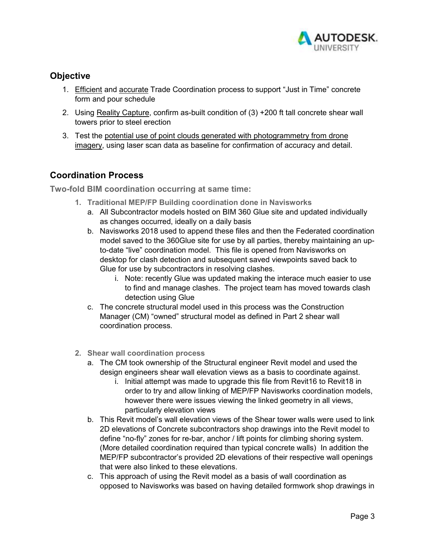

# **Objective**

- 1. Efficient and accurate Trade Coordination process to support "Just in Time" concrete form and pour schedule
- 2. Using Reality Capture, confirm as-built condition of (3) +200 ft tall concrete shear wall towers prior to steel erection
- 3. Test the potential use of point clouds generated with photogrammetry from drone imagery, using laser scan data as baseline for confirmation of accuracy and detail.

# **Coordination Process**

**Two-fold BIM coordination occurring at same time:** 

- **1. Traditional MEP/FP Building coordination done in Navisworks** 
	- a. All Subcontractor models hosted on BIM 360 Glue site and updated individually as changes occurred, ideally on a daily basis
	- b. Navisworks 2018 used to append these files and then the Federated coordination model saved to the 360Glue site for use by all parties, thereby maintaining an upto-date "live" coordination model. This file is opened from Navisworks on desktop for clash detection and subsequent saved viewpoints saved back to Glue for use by subcontractors in resolving clashes.
		- i. Note: recently Glue was updated making the interace much easier to use to find and manage clashes. The project team has moved towards clash detection using Glue
	- c. The concrete structural model used in this process was the Construction Manager (CM) "owned" structural model as defined in Part 2 shear wall coordination process.
- **2. Shear wall coordination process** 
	- a. The CM took ownership of the Structural engineer Revit model and used the design engineers shear wall elevation views as a basis to coordinate against.
		- i. Initial attempt was made to upgrade this file from Revit16 to Revit18 in order to try and allow linking of MEP/FP Navisworks coordination models, however there were issues viewing the linked geometry in all views, particularly elevation views
	- b. This Revit model's wall elevation views of the Shear tower walls were used to link 2D elevations of Concrete subcontractors shop drawings into the Revit model to define "no-fly" zones for re-bar, anchor / lift points for climbing shoring system. (More detailed coordination required than typical concrete walls) In addition the MEP/FP subcontractor's provided 2D elevations of their respective wall openings that were also linked to these elevations.
	- c. This approach of using the Revit model as a basis of wall coordination as opposed to Navisworks was based on having detailed formwork shop drawings in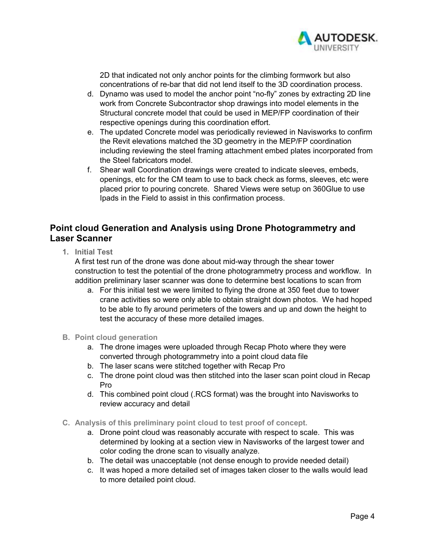

2D that indicated not only anchor points for the climbing formwork but also concentrations of re-bar that did not lend itself to the 3D coordination process.

- d. Dynamo was used to model the anchor point "no-fly" zones by extracting 2D line work from Concrete Subcontractor shop drawings into model elements in the Structural concrete model that could be used in MEP/FP coordination of their respective openings during this coordination effort.
- e. The updated Concrete model was periodically reviewed in Navisworks to confirm the Revit elevations matched the 3D geometry in the MEP/FP coordination including reviewing the steel framing attachment embed plates incorporated from the Steel fabricators model.
- f. Shear wall Coordination drawings were created to indicate sleeves, embeds, openings, etc for the CM team to use to back check as forms, sleeves, etc were placed prior to pouring concrete. Shared Views were setup on 360Glue to use Ipads in the Field to assist in this confirmation process.

# **Point cloud Generation and Analysis using Drone Photogrammetry and Laser Scanner**

**1. Initial Test** 

A first test run of the drone was done about mid-way through the shear tower construction to test the potential of the drone photogrammetry process and workflow. In addition preliminary laser scanner was done to determine best locations to scan from

- a. For this initial test we were limited to flying the drone at 350 feet due to tower crane activities so were only able to obtain straight down photos. We had hoped to be able to fly around perimeters of the towers and up and down the height to test the accuracy of these more detailed images.
- **B. Point cloud generation** 
	- a. The drone images were uploaded through Recap Photo where they were converted through photogrammetry into a point cloud data file
	- b. The laser scans were stitched together with Recap Pro
	- c. The drone point cloud was then stitched into the laser scan point cloud in Recap Pro
	- d. This combined point cloud (.RCS format) was the brought into Navisworks to review accuracy and detail
- **C. Analysis of this preliminary point cloud to test proof of concept.** 
	- a. Drone point cloud was reasonably accurate with respect to scale. This was determined by looking at a section view in Navisworks of the largest tower and color coding the drone scan to visually analyze.
	- b. The detail was unacceptable (not dense enough to provide needed detail)
	- c. It was hoped a more detailed set of images taken closer to the walls would lead to more detailed point cloud.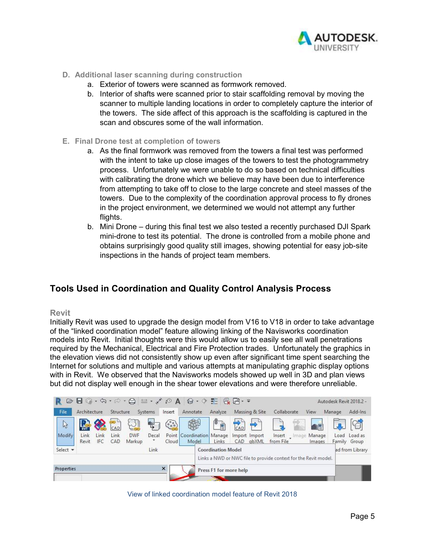

- **D. Additional laser scanning during construction** 
	- a. Exterior of towers were scanned as formwork removed.
	- b. Interior of shafts were scanned prior to stair scaffolding removal by moving the scanner to multiple landing locations in order to completely capture the interior of the towers. The side affect of this approach is the scaffolding is captured in the scan and obscures some of the wall information.
- **E. Final Drone test at completion of towers** 
	- a. As the final formwork was removed from the towers a final test was performed with the intent to take up close images of the towers to test the photogrammetry process. Unfortunately we were unable to do so based on technical difficulties with calibrating the drone which we believe may have been due to interference from attempting to take off to close to the large concrete and steel masses of the towers. Due to the complexity of the coordination approval process to fly drones in the project environment, we determined we would not attempt any further flights.
	- b. Mini Drone during this final test we also tested a recently purchased DJI Spark mini-drone to test its potential. The drone is controlled from a mobile phone and obtains surprisingly good quality still images, showing potential for easy job-site inspections in the hands of project team members.

# **Tools Used in Coordination and Quality Control Analysis Process**

## **Revit**

Initially Revit was used to upgrade the design model from V16 to V18 in order to take advantage of the "linked coordination model" feature allowing linking of the Navisworks coordination models into Revit. Initial thoughts were this would allow us to easily see all wall penetrations required by the Mechanical, Electrical and Fire Protection trades. Unfortunately the graphics in the elevation views did not consistently show up even after significant time spent searching the Internet for solutions and multiple and various attempts at manipulating graphic display options with in Revit. We observed that the Navisworks models showed up well in 3D and plan views but did not display well enough in the shear tower elevations and were therefore unreliable.



View of linked coordination model feature of Revit 2018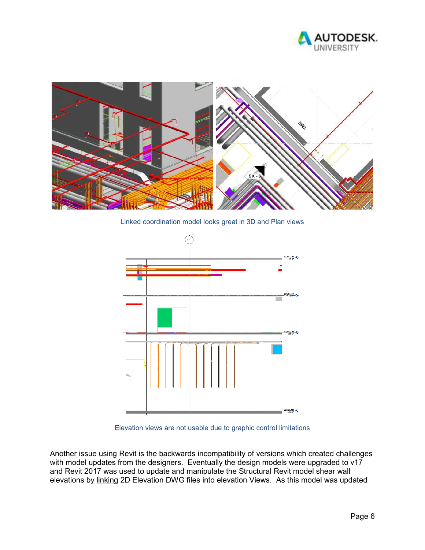



Linked coordination model looks great in 3D and Plan views



Elevation views are not usable due to graphic control limitations

Another issue using Revit is the backwards incompatibility of versions which created challenges with model updates from the designers. Eventually the design models were upgraded to v17 and Revit 2017 was used to update and manipulate the Structural Revit model shear wall elevations by linking 2D Elevation DWG files into elevation Views. As this model was updated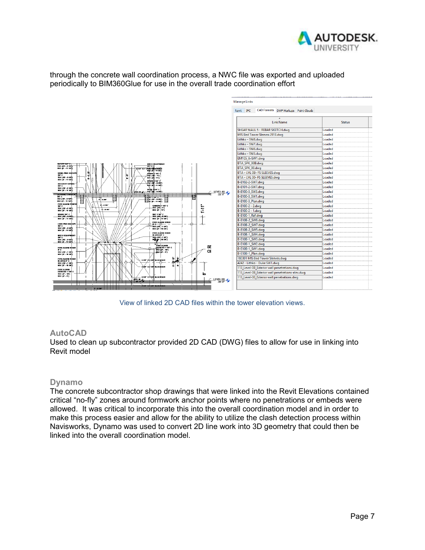

through the concrete wall coordination process, a NWC file was exported and uploaded periodically to BIM360Glue for use in the overall trade coordination effort

|                                                                                                                                                                         | <b>Manage Links</b>                               |               |
|-------------------------------------------------------------------------------------------------------------------------------------------------------------------------|---------------------------------------------------|---------------|
|                                                                                                                                                                         | CAD Formats DWF Markups Point Clouds<br>Revit IFC |               |
|                                                                                                                                                                         |                                                   |               |
| SVET STO                                                                                                                                                                | <b>Link Name</b>                                  | <b>Status</b> |
|                                                                                                                                                                         | SHEAR WALL 5 - REBAR SKETCH.dwg                   | Loaded        |
|                                                                                                                                                                         | MIS Bed Tower Sleeves 2918.dwg                    | Loaded        |
|                                                                                                                                                                         | Lithko - SW8.dwg                                  | Loaded        |
|                                                                                                                                                                         | Lithko - SW7.dwg                                  | Loaded        |
|                                                                                                                                                                         | Lithko - SW6.dwg                                  | Loaded        |
|                                                                                                                                                                         | Lithko - SW5.dwg                                  | Loaded        |
|                                                                                                                                                                         | EM105 A-SW1.dwg                                   | Loaded        |
|                                                                                                                                                                         | BTA_SPK_00B.dwg                                   | Loaded        |
| <b>MICH BOUPMENT<br/>POD (MOORGEE)<br/>MOC (C-1112)</b><br>SPARS H 122 C<br>TOC (10' - 0 12")<br>BOC (F - 11 V2)                                                        | BTA_SPK_00.dwg                                    | Loaded        |
| <b>MRUL PWR RECEPT</b><br>se c                                                                                                                                          | BTA - LVL 0B- FS SLEEVES.dwg                      | Loaded        |
| يعوا به<br>ŀ.<br>"한대……<br>TOC (17 - 0 121)<br>ĭ.<br>80C (F - 11 12T)                                                                                                    | BTA - LVL 00- FS SLEEVES.dwg                      | Loaded        |
| ække) vrd<br>$\frac{\text{FOC (1)} + 0.011}{\text{FOC (1)} + 1.011}$<br>SECURITY SPARE-                                                                                 | B-E102-2-SW7.dwg                                  | Loaded        |
| se c<br>TOC (10' - 0 12')                                                                                                                                               | B-E101-2-SW7.dwg                                  | Loaded        |
| .semelure<br>.nock#.sam<br>800 (F - 11 12)<br>$\leftarrow$ LEVEL 00<br>Ure n<br><b>Provide</b><br>.<br>$\sim$ $\sim$ $\sim$ $\sim$ $\sim$ $\sim$                        | B-E100-3 SW3.dwg                                  | Loaded        |
| <b>UGRIMG GRIMGE</b><br>TP 4 - 1<br>$\rightarrow$<br>$-1$ $+1$ $+1$ $+1$<br>$\frac{1}{2}$ and $\frac{1}{2}$<br>36C<br>TOC (10' - 0 10")                                 | B-E100-3 SW1.dwg                                  | Loaded        |
| $\frac{1}{2}$<br>$8 - 875$<br>80C (F - 11 12")<br>FIRE ALARM POWER                                                                                                      | B-E100-3_Plan.dwg                                 | Loaded        |
| 8-4-54<br>CAMERA 1 1/2" C<br>se c                                                                                                                                       | B-E100-2 - 2.dwa                                  | Loaded        |
| $1 - 1 + 7$<br>TOC (10'-1")<br>BOC (0'-11")<br>TOC (10'-0'12')<br>BOC (1'-11'12')<br>- 0 14"                                                                            | B-E100-2 - 1.dwa                                  | Loaded        |
| SEC 1 14 C<br>SPARE 34" C<br>$\rightarrow$<br>$mc$ $(m - n \cdot n)$<br>$mc$ $(m)$ $n$ $m$                                                                              | B-E100-1 Ref.dwg                                  | Loaded        |
| 80C (F 11 181)<br>80C (F - 11 12)<br><b>FIRE ALARM RISER</b>                                                                                                            | B-E10B-2 SW8.dwg                                  | Loaded        |
| CRIT PWR RECEPT<br>⊕<br>Æ,<br>⊕<br>$\begin{array}{c}\n\cdot \pi \circ \overbrace{(\pi \cdot 1 \cdot \pi)}\n\hline\n\text{TOC (40° - 1 \cdot \pi)}\n\end{array}$<br>se c | B-E10B-2_SW7.dwg                                  | Loaded        |
| TOC (17 - 012)<br>80C (F - 11 121)                                                                                                                                      | B-E10B-2 SW5.dwg                                  | Loaded        |
| <b>FIRE ALARM RISER</b><br><b>NAREAT C</b><br>MECH EQUIPMENT<br>100 (10 - 1 14")                                                                                        | B-E10B-1 SW4.dwg                                  | Loaded        |
| se c<br>styr   ozer<br>TOC (17 - 0 127)<br><b>BOC (F - 11121</b>                                                                                                        | B-E10B-1_SW3.dwg                                  | Loaded        |
| 6440m<br><b>FIRE ALARM</b><br>SE                                                                                                                                        | B-E10B-1_SW2.dwg                                  | Loaded        |
| DEVICES 1 1/2" C<br><b>FIRE ALARM RISER</b><br>$\sqrt{10}$ (if $\cdot$ 10")<br>zε<br>CE                                                                                 | B-E10B-1 SW1.dwg                                  | Loaded        |
| TOC (10' - 1 14')<br>ancier sy<br>BOC (F - 10 7.81)                                                                                                                     | B-E10B-1 Plan.dwg                                 | Loaded        |
| ġ<br>FIRE ALARM RISER<br><b>SZS" X2ZS BLOCKOUT</b><br><b>NAREAZ C</b>                                                                                                   | 180301 MIS Bed Tower Sleeves.dwg                  | Loaded        |
| æ<br>œ<br>TOC (10' - 1 14')<br>BOC (9' - 10 7.8')<br>÷<br>z.                                                                                                            | 4242 - Lithko - Duke SW1.dwg                      | Loaded        |
| <b>100 X2 UST BLOCKOUT</b><br>FIRE ALARM<br>DEVICES 1 1/2 C                                                                                                             | 113 Level-0B Exterior wall penetrations.dwg       | Loaded        |
| õ.<br>TOC (F - 18")                                                                                                                                                     | 113 Level-0B Exterior wall penetrations-elev.dwg  | Loaded        |
| $BOC$ $(F - F)$<br><b>612 X TUZ BLOCKOUT</b><br><b>UNIL M</b><br>LEVELDB                                                                                                | 113_Level-00_Exterior wall penetrations.dwg       | Loaded        |
| $-45 - 0$<br>47.8<br>----<br><u> тт</u><br>ҡ                                                                                                                            |                                                   |               |
| <b>BIR AZ IR BLUCKOUT</b><br>ш<br>$3 - 0.08$                                                                                                                            |                                                   |               |

View of linked 2D CAD files within the tower elevation views.

## **AutoCAD**

Used to clean up subcontractor provided 2D CAD (DWG) files to allow for use in linking into Revit model

## **Dynamo**

The concrete subcontractor shop drawings that were linked into the Revit Elevations contained critical "no-fly" zones around formwork anchor points where no penetrations or embeds were allowed. It was critical to incorporate this into the overall coordination model and in order to make this process easier and allow for the ability to utilize the clash detection process within Navisworks, Dynamo was used to convert 2D line work into 3D geometry that could then be linked into the overall coordination model.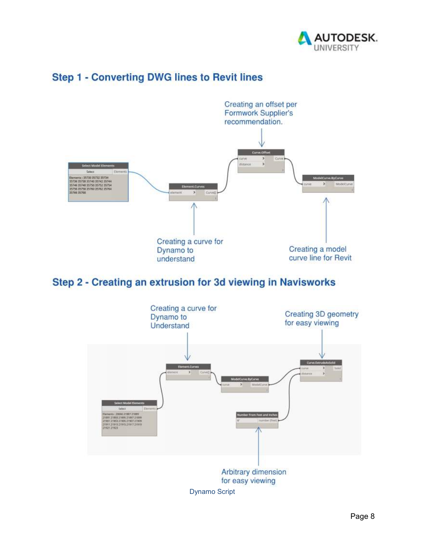



# **Step 1 - Converting DWG lines to Revit lines**

Step 2 - Creating an extrusion for 3d viewing in Navisworks

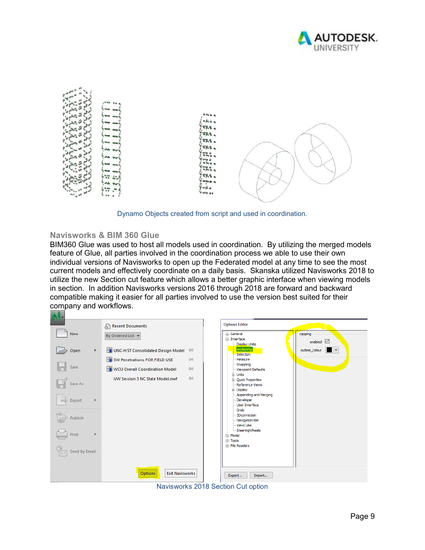



Dynamo Objects created from script and used in coordination.

## **Navisworks & BIM 360 Glue**

BIM360 Glue was used to host all models used in coordination. By utilizing the merged models feature of Glue, all parties involved in the coordination process we able to use their own individual versions of Navisworks to open up the Federated model at any time to see the most current models and effectively coordinate on a daily basis. Skanska utilized Navisworks 2018 to utilize the new Section cut feature which allows a better graphic interface when viewing models in section. In addition Navisworks versions 2016 through 2018 are forward and backward compatible making it easier for all parties involved to use the version best suited for their company and workflows.



Navisworks 2018 Section Cut option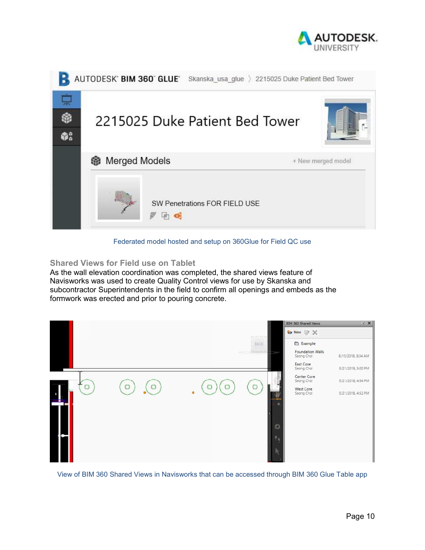



#### Federated model hosted and setup on 360Glue for Field QC use

## **Shared Views for Field use on Tablet**

As the wall elevation coordination was completed, the shared views feature of Navisworks was used to create Quality Control views for use by Skanska and subcontractor Superintendents in the field to confirm all openings and embeds as the formwork was erected and prior to pouring concrete.



View of BIM 360 Shared Views in Navisworks that can be accessed through BIM 360 Glue Table app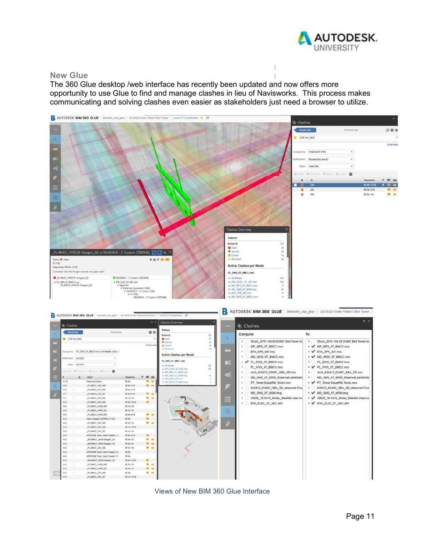

#### **New Glue**

The 360 Glue desktop /web interface has recently been updated and now offers more opportunity to use Glue to find and manage clashes in lieu of Navisworks. This process makes communicating and solving clashes even easier as stakeholders just need a browser to utilize.



Views of New BIM 360 Glue Interface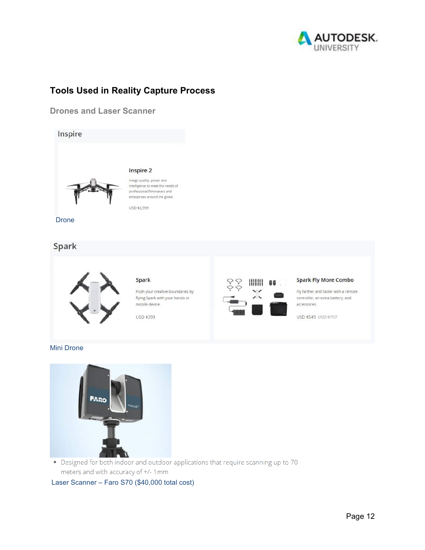

# **Tools Used in Reality Capture Process**

**Drones and Laser Scanner** 



Drone

# Spark



#### **Spark**

Push your creative boundaries by flying Spark with your hands or mobile device.

**USD \$399** 



#### **Spark Fly More Combo**

Fly farther and faster with a remote controller, an extra battery, and accessories.

USD \$549 USD \$797





• Designed for both indoor and outdoor applications that require scanning up to 70 meters and with accuracy of +/- 1mm

Laser Scanner – Faro S70 (\$40,000 total cost)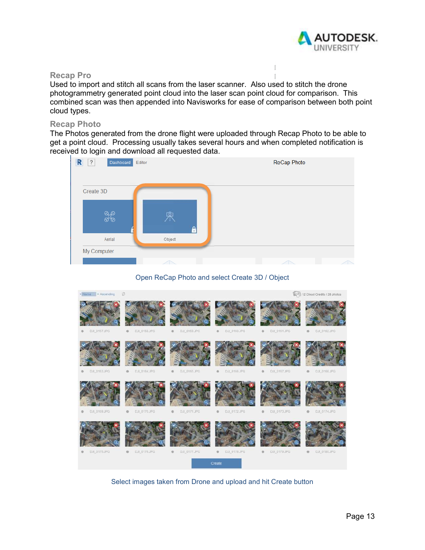

## **Recap Pro**

Used to import and stitch all scans from the laser scanner. Also used to stitch the drone photogrammetry generated point cloud into the laser scan point cloud for comparison. This combined scan was then appended into Navisworks for ease of comparison between both point cloud types.

#### **Recap Photo**

The Photos generated from the drone flight were uploaded through Recap Photo to be able to get a point cloud. Processing usually takes several hours and when completed notification is received to login and download all requested data.



#### Open ReCap Photo and select Create 3D / Object



Select images taken from Drone and upload and hit Create button